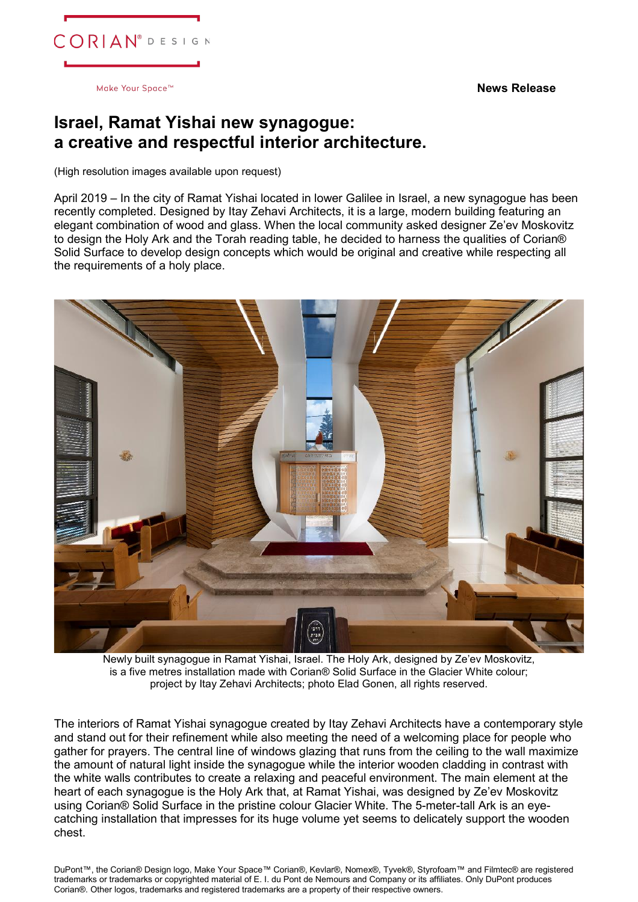**News Release**



Make Your Space<sup>™</sup>

## **Israel, Ramat Yishai new synagogue: a creative and respectful interior architecture.**

(High resolution images available upon request)

April 2019 – In the city of Ramat Yishai located in lower Galilee in Israel, a new synagogue has been recently completed. Designed by Itay Zehavi Architects, it is a large, modern building featuring an elegant combination of wood and glass. When the local community asked designer Ze'ev Moskovitz to design the Holy Ark and the Torah reading table, he decided to harness the qualities of Corian® Solid Surface to develop design concepts which would be original and creative while respecting all the requirements of a holy place.



Newly built synagogue in Ramat Yishai, Israel. The Holy Ark, designed by Ze'ev Moskovitz, is a five metres installation made with Corian® Solid Surface in the Glacier White colour; project by Itay Zehavi Architects; photo Elad Gonen, all rights reserved.

The interiors of Ramat Yishai synagogue created by Itay Zehavi Architects have a contemporary style and stand out for their refinement while also meeting the need of a welcoming place for people who gather for prayers. The central line of windows glazing that runs from the ceiling to the wall maximize the amount of natural light inside the synagogue while the interior wooden cladding in contrast with the white walls contributes to create a relaxing and peaceful environment. The main element at the heart of each synagogue is the Holy Ark that, at Ramat Yishai, was designed by Ze'ev Moskovitz using Corian® Solid Surface in the pristine colour Glacier White. The 5-meter-tall Ark is an eyecatching installation that impresses for its huge volume yet seems to delicately support the wooden chest.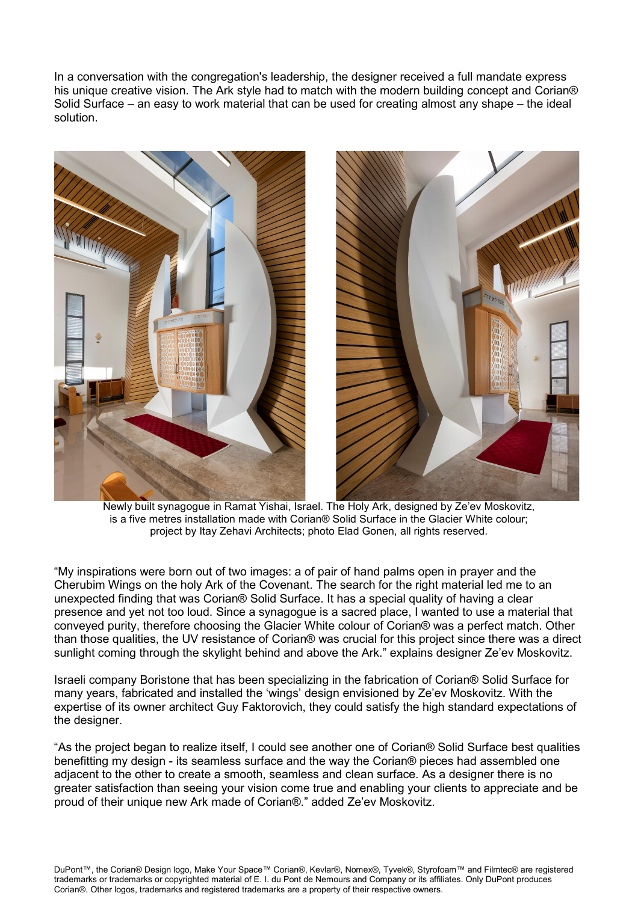In a conversation with the congregation's leadership, the designer received a full mandate express his unique creative vision. The Ark style had to match with the modern building concept and Corian® Solid Surface – an easy to work material that can be used for creating almost any shape – the ideal solution.



 Newly built synagogue in Ramat Yishai, Israel. The Holy Ark, designed by Ze'ev Moskovitz, is a five metres installation made with Corian® Solid Surface in the Glacier White colour; project by Itay Zehavi Architects; photo Elad Gonen, all rights reserved.

"My inspirations were born out of two images: a of pair of hand palms open in prayer and the Cherubim Wings on the holy Ark of the Covenant. The search for the right material led me to an unexpected finding that was Corian® Solid Surface. It has a special quality of having a clear presence and yet not too loud. Since a synagogue is a sacred place, I wanted to use a material that conveyed purity, therefore choosing the Glacier White colour of Corian® was a perfect match. Other than those qualities, the UV resistance of Corian® was crucial for this project since there was a direct sunlight coming through the skylight behind and above the Ark." explains designer Ze'ev Moskovitz.

Israeli company Boristone that has been specializing in the fabrication of Corian® Solid Surface for many years, fabricated and installed the 'wings' design envisioned by Ze'ev Moskovitz. With the expertise of its owner architect Guy Faktorovich, they could satisfy the high standard expectations of the designer.

"As the project began to realize itself, I could see another one of Corian® Solid Surface best qualities benefitting my design - its seamless surface and the way the Corian® pieces had assembled one adjacent to the other to create a smooth, seamless and clean surface. As a designer there is no greater satisfaction than seeing your vision come true and enabling your clients to appreciate and be proud of their unique new Ark made of Corian®." added Ze'ev Moskovitz.